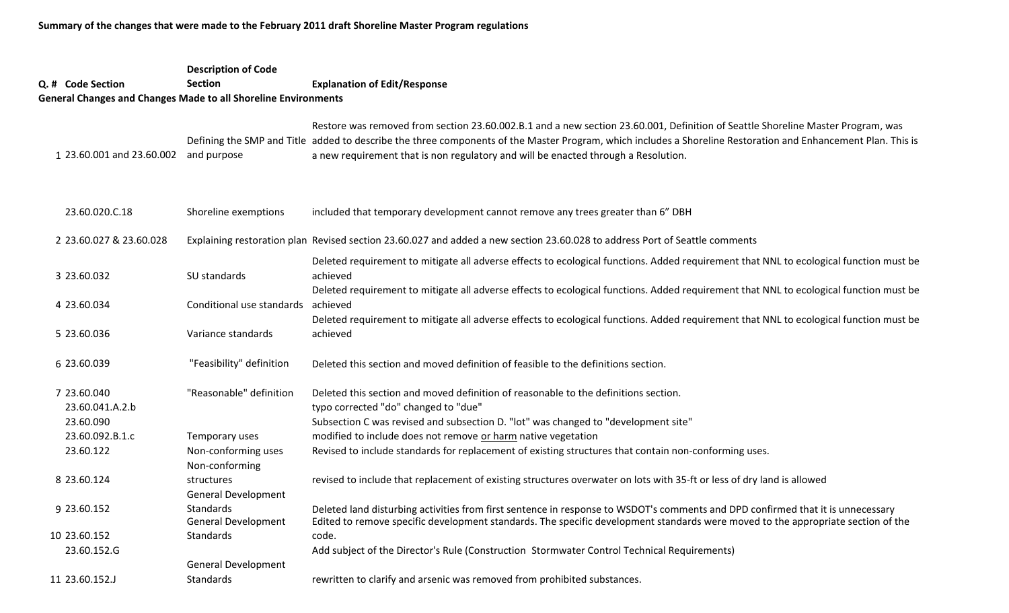**Summary of the changes that were made to the February 2011 draft Shoreline Master Program regulations**

## **Q. # Code Section Description of Code Section Explanation of Edit/Response General Changes and Changes Made to all Shoreline Environments** 1 23.60.001 and 23.60.002 and purpose Defining the SMP and Title added to describe the three components of the Master Program, which includes a Shoreline Restoration and Enhancement Plan. This is 23.60.020.C.18 Shoreline exemptions 2 23.60.027 & 23.60.028 Explaining restoration plan Revised section 23.60.027 and added <sup>a</sup> new section 23.60.028 to address Port of Seattle comments 3 23.60.032 SU standards 4 23.60.034 23.60.034 Conditional use standards achieved5 23.60.036 Variance standards 6 23.60.039 "Feasibility" definition 7 23.60.040 "Reasonable" definition d this section and moved definition of reasonable to the definitions section. 23.60.041.A.2.b typo corrected "do" changed to "due" 23.60.090 Subsection C was revised and subsection D. "lot" was changed to "development site" 23.60.092.B.1.c Temporary uses modified to include does not remove or harm native vegetation 23.60.122 Non‐conforming uses Revised to include standards for replacement of existing structures that contain non‐conforming uses. 8 23.60.124 Non‐conforming structures9 23.60.152 General Development Standards10 23.60.152 General Development Standardsincluded that temporary development cannot remove any trees greater than 6" DBH revised to include that replacement of existing structures overwater on lots with 35‐ft or less of dry land is allowed Deleted land disturbing activities from first sentence in response to WSDOT's comments and DPD confirmed that it is unnecessary Edited to remove specific development standards. The specific development standards were moved to the appropriate section of the code.Restore was removed from section 23.60.002.B.1 and <sup>a</sup> new section 23.60.001, Definition of Seattle Shoreline Master Program, was a new requirement that is non regulatory and will be enacted through <sup>a</sup> Resolution. Deleted requirement to mitigate all adverse effects to ecological functions. Added requirement that NNL to ecological function must be achievedDeleted requirement to mitigate all adverse effects to ecological functions. Added requirement that NNL to ecological function must be Deleted requirement to mitigate all adverse effects to ecological functions. Added requirement that NNL to ecological function must be achievedDeleted this section and moved definition of feasible to the definitions section.

 AddAdd subject of the Director's Rule (Construction Stormwater Control Technical Requirements)

11 23.60.152.J General Development Standardsrewritten to clarify and arsenic was removed from prohibited substances.

23.60.152.G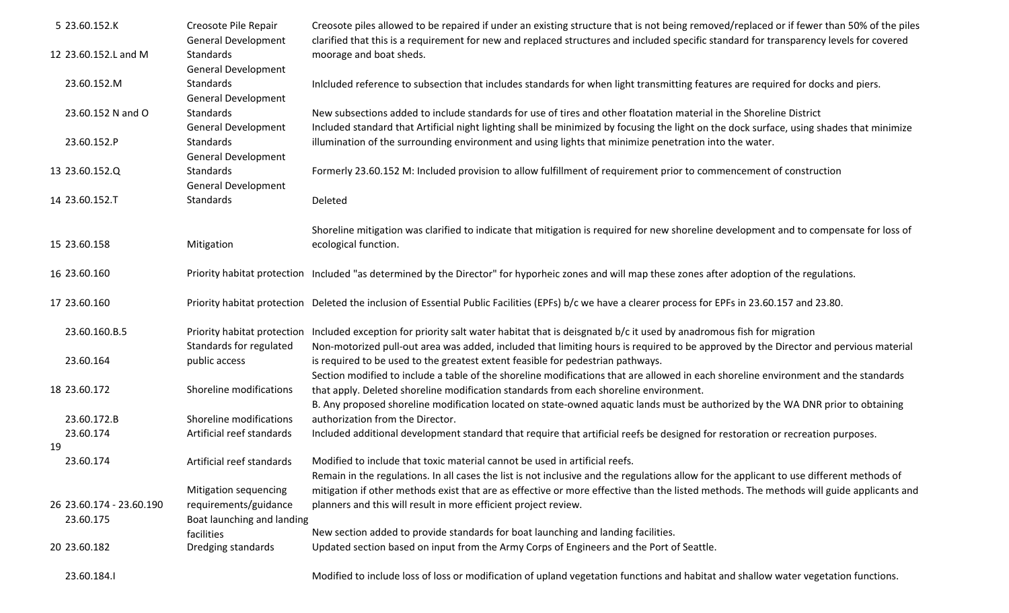| 5 23.60.152.K            | Creosote Pile Repair<br><b>General Development</b> | Creosote piles allowed to be repaired if under an existing structure that is not being removed/replaced or if fewer than 50% of the piles<br>clarified that this is a requirement for new and replaced structures and included specific standard for transparency levels for covered |
|--------------------------|----------------------------------------------------|--------------------------------------------------------------------------------------------------------------------------------------------------------------------------------------------------------------------------------------------------------------------------------------|
| 12 23.60.152.L and M     | Standards                                          | moorage and boat sheds.                                                                                                                                                                                                                                                              |
|                          | <b>General Development</b>                         |                                                                                                                                                                                                                                                                                      |
| 23.60.152.M              | Standards                                          | Inlcluded reference to subsection that includes standards for when light transmitting features are required for docks and piers.                                                                                                                                                     |
|                          | <b>General Development</b>                         |                                                                                                                                                                                                                                                                                      |
| 23.60.152 N and O        | Standards                                          | New subsections added to include standards for use of tires and other floatation material in the Shoreline District                                                                                                                                                                  |
|                          | <b>General Development</b>                         | Included standard that Artificial night lighting shall be minimized by focusing the light on the dock surface, using shades that minimize                                                                                                                                            |
| 23.60.152.P              | Standards                                          | illumination of the surrounding environment and using lights that minimize penetration into the water.                                                                                                                                                                               |
|                          | <b>General Development</b>                         |                                                                                                                                                                                                                                                                                      |
| 13 23.60.152.Q           | Standards                                          | Formerly 23.60.152 M: Included provision to allow fulfillment of requirement prior to commencement of construction                                                                                                                                                                   |
|                          | <b>General Development</b>                         |                                                                                                                                                                                                                                                                                      |
| 14 23.60.152.T           | Standards                                          | Deleted                                                                                                                                                                                                                                                                              |
|                          |                                                    | Shoreline mitigation was clarified to indicate that mitigation is required for new shoreline development and to compensate for loss of                                                                                                                                               |
| 15 23.60.158             | Mitigation                                         | ecological function.                                                                                                                                                                                                                                                                 |
| 16 23.60.160             |                                                    | Priority habitat protection Included "as determined by the Director" for hyporheic zones and will map these zones after adoption of the regulations.                                                                                                                                 |
| 17 23.60.160             |                                                    | Priority habitat protection Deleted the inclusion of Essential Public Facilities (EPFs) b/c we have a clearer process for EPFs in 23.60.157 and 23.80.                                                                                                                               |
|                          |                                                    |                                                                                                                                                                                                                                                                                      |
| 23.60.160.B.5            |                                                    | Priority habitat protection Included exception for priority salt water habitat that is deisgnated b/c it used by anadromous fish for migration                                                                                                                                       |
|                          | Standards for regulated                            | Non-motorized pull-out area was added, included that limiting hours is required to be approved by the Director and pervious material                                                                                                                                                 |
| 23.60.164                | public access                                      | is required to be used to the greatest extent feasible for pedestrian pathways.                                                                                                                                                                                                      |
|                          |                                                    | Section modified to include a table of the shoreline modifications that are allowed in each shoreline environment and the standards                                                                                                                                                  |
| 18 23.60.172             | Shoreline modifications                            | that apply. Deleted shoreline modification standards from each shoreline environment.                                                                                                                                                                                                |
| 23.60.172.B              | Shoreline modifications                            | B. Any proposed shoreline modification located on state-owned aquatic lands must be authorized by the WA DNR prior to obtaining<br>authorization from the Director.                                                                                                                  |
| 23.60.174                | Artificial reef standards                          | Included additional development standard that require that artificial reefs be designed for restoration or recreation purposes.                                                                                                                                                      |
| 19                       |                                                    |                                                                                                                                                                                                                                                                                      |
| 23.60.174                | Artificial reef standards                          | Modified to include that toxic material cannot be used in artificial reefs.                                                                                                                                                                                                          |
|                          |                                                    | Remain in the regulations. In all cases the list is not inclusive and the regulations allow for the applicant to use different methods of                                                                                                                                            |
|                          | Mitigation sequencing                              | mitigation if other methods exist that are as effective or more effective than the listed methods. The methods will guide applicants and                                                                                                                                             |
| 26 23.60.174 - 23.60.190 | requirements/guidance                              | planners and this will result in more efficient project review.                                                                                                                                                                                                                      |
| 23.60.175                | Boat launching and landing                         |                                                                                                                                                                                                                                                                                      |
|                          | facilities                                         | New section added to provide standards for boat launching and landing facilities.                                                                                                                                                                                                    |
| 20 23.60.182             | Dredging standards                                 | Updated section based on input from the Army Corps of Engineers and the Port of Seattle.                                                                                                                                                                                             |
| 23.60.184.I              |                                                    | Modified to include loss of loss or modification of upland vegetation functions and habitat and shallow water vegetation functions.                                                                                                                                                  |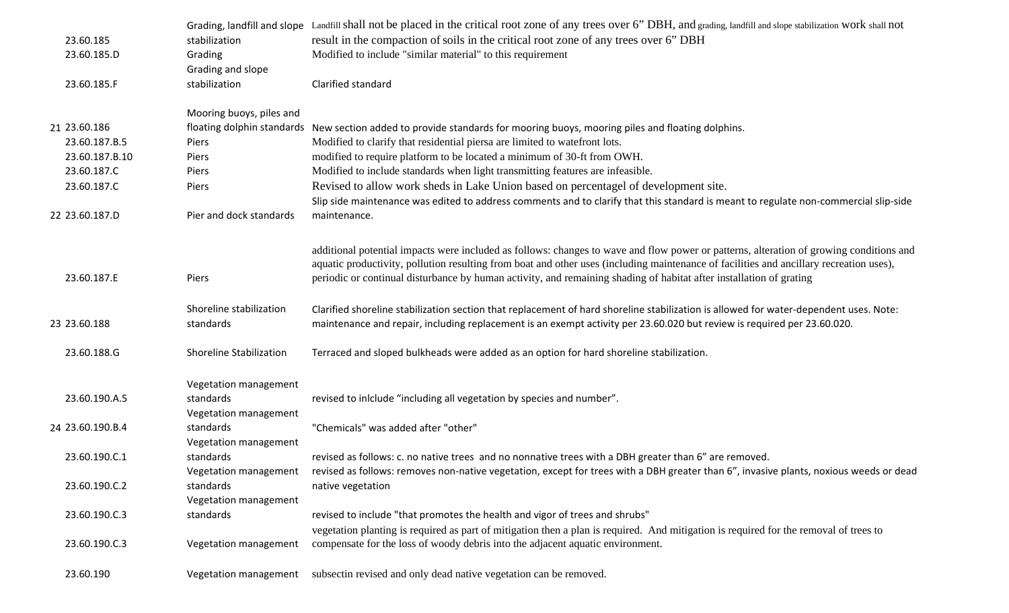|                  |                                    | Grading, landfill and slope Landfill shall not be placed in the critical root zone of any trees over 6" DBH, and grading, landfill and slope stabilization WOrk shall not                                                                                                                                                                                                                                 |
|------------------|------------------------------------|-----------------------------------------------------------------------------------------------------------------------------------------------------------------------------------------------------------------------------------------------------------------------------------------------------------------------------------------------------------------------------------------------------------|
| 23.60.185        | stabilization                      | result in the compaction of soils in the critical root zone of any trees over 6" DBH                                                                                                                                                                                                                                                                                                                      |
| 23.60.185.D      | Grading                            | Modified to include "similar material" to this requirement                                                                                                                                                                                                                                                                                                                                                |
|                  | Grading and slope                  |                                                                                                                                                                                                                                                                                                                                                                                                           |
| 23.60.185.F      | stabilization                      | Clarified standard                                                                                                                                                                                                                                                                                                                                                                                        |
|                  | Mooring buoys, piles and           |                                                                                                                                                                                                                                                                                                                                                                                                           |
| 21 23.60.186     |                                    | floating dolphin standards New section added to provide standards for mooring buoys, mooring piles and floating dolphins.                                                                                                                                                                                                                                                                                 |
| 23.60.187.B.5    | Piers                              | Modified to clarify that residential piersa are limited to watefront lots.                                                                                                                                                                                                                                                                                                                                |
| 23.60.187.B.10   | Piers                              | modified to require platform to be located a minimum of 30-ft from OWH.                                                                                                                                                                                                                                                                                                                                   |
| 23.60.187.C      | Piers                              | Modified to include standards when light transmitting features are infeasible.                                                                                                                                                                                                                                                                                                                            |
| 23.60.187.C      | Piers                              | Revised to allow work sheds in Lake Union based on percentagel of development site.                                                                                                                                                                                                                                                                                                                       |
|                  |                                    | Slip side maintenance was edited to address comments and to clarify that this standard is meant to regulate non-commercial slip-side                                                                                                                                                                                                                                                                      |
| 22 23.60.187.D   | Pier and dock standards            | maintenance.                                                                                                                                                                                                                                                                                                                                                                                              |
| 23.60.187.E      | Piers                              | additional potential impacts were included as follows: changes to wave and flow power or patterns, alteration of growing conditions and<br>aquatic productivity, pollution resulting from boat and other uses (including maintenance of facilities and ancillary recreation uses),<br>periodic or continual disturbance by human activity, and remaining shading of habitat after installation of grating |
|                  |                                    |                                                                                                                                                                                                                                                                                                                                                                                                           |
|                  | Shoreline stabilization            | Clarified shoreline stabilization section that replacement of hard shoreline stabilization is allowed for water-dependent uses. Note:                                                                                                                                                                                                                                                                     |
| 23 23.60.188     | standards                          | maintenance and repair, including replacement is an exempt activity per 23.60.020 but review is required per 23.60.020.                                                                                                                                                                                                                                                                                   |
| 23.60.188.G      | Shoreline Stabilization            | Terraced and sloped bulkheads were added as an option for hard shoreline stabilization.                                                                                                                                                                                                                                                                                                                   |
|                  | Vegetation management              |                                                                                                                                                                                                                                                                                                                                                                                                           |
| 23.60.190.A.5    | standards<br>Vegetation management | revised to inlclude "including all vegetation by species and number".                                                                                                                                                                                                                                                                                                                                     |
| 24 23.60.190.B.4 | standards                          | "Chemicals" was added after "other"                                                                                                                                                                                                                                                                                                                                                                       |
|                  | Vegetation management              |                                                                                                                                                                                                                                                                                                                                                                                                           |
| 23.60.190.C.1    | standards                          | revised as follows: c. no native trees and no nonnative trees with a DBH greater than 6" are removed.                                                                                                                                                                                                                                                                                                     |
|                  |                                    | Vegetation management revised as follows: removes non-native vegetation, except for trees with a DBH greater than 6", invasive plants, noxious weeds or dead                                                                                                                                                                                                                                              |
| 23.60.190.C.2    | standards                          | native vegetation                                                                                                                                                                                                                                                                                                                                                                                         |
|                  | Vegetation management              |                                                                                                                                                                                                                                                                                                                                                                                                           |
| 23.60.190.C.3    | standards                          | revised to include "that promotes the health and vigor of trees and shrubs"                                                                                                                                                                                                                                                                                                                               |
|                  |                                    | vegetation planting is required as part of mitigation then a plan is required. And mitigation is required for the removal of trees to                                                                                                                                                                                                                                                                     |
| 23.60.190.C.3    | Vegetation management              | compensate for the loss of woody debris into the adjacent aquatic environment.                                                                                                                                                                                                                                                                                                                            |
| 23.60.190        |                                    | Vegetation management subsectin revised and only dead native vegetation can be removed.                                                                                                                                                                                                                                                                                                                   |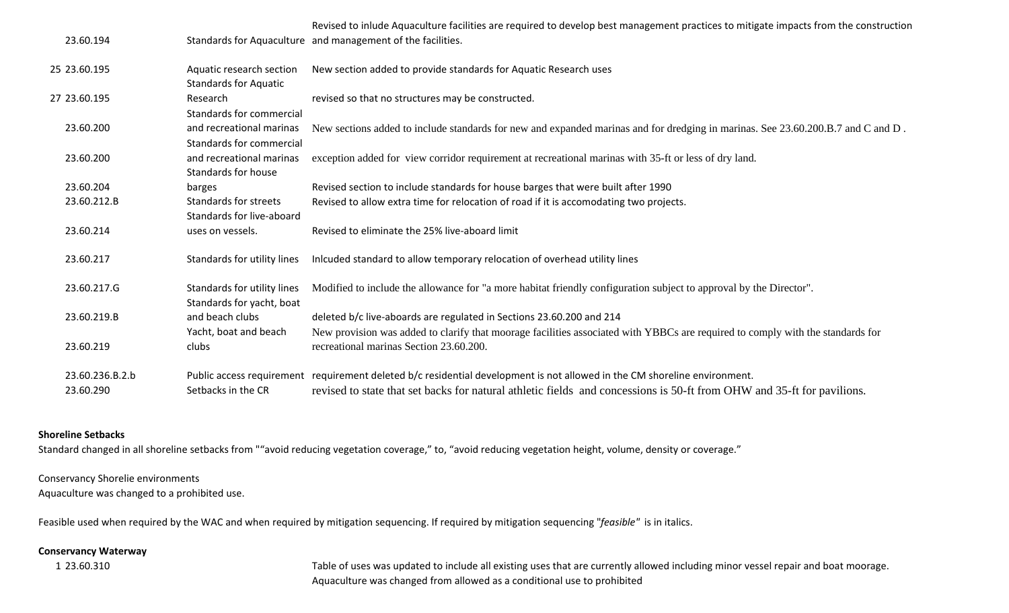|                 |                                                          | Revised to inlude Aquaculture facilities are required to develop best management practices to mitigate impacts from the construction                                      |
|-----------------|----------------------------------------------------------|---------------------------------------------------------------------------------------------------------------------------------------------------------------------------|
| 23.60.194       |                                                          | Standards for Aquaculture and management of the facilities.                                                                                                               |
| 25 23.60.195    | Aquatic research section<br><b>Standards for Aquatic</b> | New section added to provide standards for Aquatic Research uses                                                                                                          |
| 27 23.60.195    | Research<br>Standards for commercial                     | revised so that no structures may be constructed.                                                                                                                         |
| 23.60.200       | and recreational marinas<br>Standards for commercial     | New sections added to include standards for new and expanded marinas and for dredging in marinas. See 23.60.200.B.7 and C and D.                                          |
| 23.60.200       | and recreational marinas<br>Standards for house          | exception added for view corridor requirement at recreational marinas with 35-ft or less of dry land.                                                                     |
| 23.60.204       | barges                                                   | Revised section to include standards for house barges that were built after 1990                                                                                          |
| 23.60.212.B     | Standards for streets<br>Standards for live-aboard       | Revised to allow extra time for relocation of road if it is accomodating two projects.                                                                                    |
| 23.60.214       | uses on vessels.                                         | Revised to eliminate the 25% live-aboard limit                                                                                                                            |
| 23.60.217       | Standards for utility lines                              | Inlcuded standard to allow temporary relocation of overhead utility lines                                                                                                 |
| 23.60.217.G     | Standards for utility lines<br>Standards for yacht, boat | Modified to include the allowance for "a more habitat friendly configuration subject to approval by the Director".                                                        |
| 23.60.219.B     | and beach clubs                                          | deleted b/c live-aboards are regulated in Sections 23.60.200 and 214                                                                                                      |
| 23.60.219       | Yacht, boat and beach<br>clubs                           | New provision was added to clarify that moorage facilities associated with YBBCs are required to comply with the standards for<br>recreational marinas Section 23.60.200. |
| 23.60.236.B.2.b |                                                          | Public access requirement requirement deleted b/c residential development is not allowed in the CM shoreline environment.                                                 |
| 23.60.290       | Setbacks in the CR                                       | revised to state that set backs for natural athletic fields and concessions is 50-ft from OHW and 35-ft for pavilions.                                                    |

## **Shoreline Setbacks**

Standard changed in all shoreline setbacks from ""avoid reducing vegetation coverage," to, "avoid reducing vegetation height, volume, density or coverage."

## Conservancy Shorelie environments

Aquaculture was changed to <sup>a</sup> prohibited use.

Feasible used when required by the WAC and when required by mitigation sequencing. If required by mitigation sequencing "*feasible"* is in italics.

## **Conservancy Waterway**

1 23.60.310

Aquaculture was changed from allowed as <sup>a</sup> conditional use to prohibited Table of uses was updated to include all existing uses that are currently allowed including minor vessel repair and boat moorage.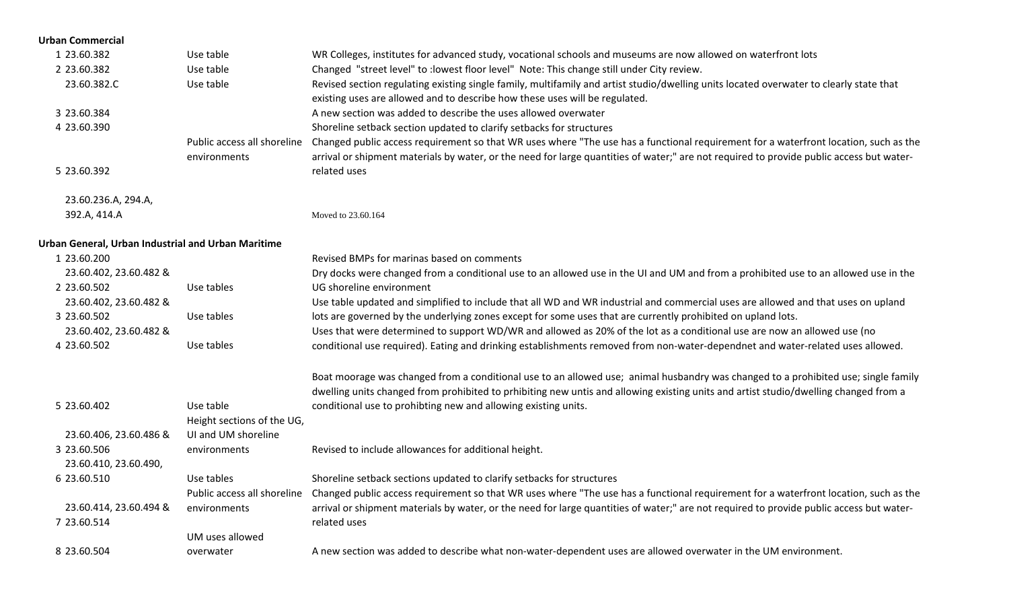| <b>Urban Commercial</b>                            |                             |                                                                                                                                                                  |
|----------------------------------------------------|-----------------------------|------------------------------------------------------------------------------------------------------------------------------------------------------------------|
| 1 23.60.382                                        | Use table                   | WR Colleges, institutes for advanced study, vocational schools and museums are now allowed on waterfront lots                                                    |
| 2 23.60.382                                        | Use table                   | Changed "street level" to : lowest floor level" Note: This change still under City review.                                                                       |
| 23.60.382.C                                        | Use table                   | Revised section regulating existing single family, multifamily and artist studio/dwelling units located overwater to clearly state that                          |
|                                                    |                             | existing uses are allowed and to describe how these uses will be regulated.                                                                                      |
| 3 23.60.384                                        |                             | A new section was added to describe the uses allowed overwater                                                                                                   |
| 4 23.60.390                                        |                             | Shoreline setback section updated to clarify setbacks for structures                                                                                             |
|                                                    | Public access all shoreline | Changed public access requirement so that WR uses where "The use has a functional requirement for a waterfront location, such as the                             |
|                                                    | environments                | arrival or shipment materials by water, or the need for large quantities of water;" are not required to provide public access but water-                         |
| 5 23.60.392                                        |                             | related uses                                                                                                                                                     |
| 23.60.236.A, 294.A,                                |                             |                                                                                                                                                                  |
| 392.A, 414.A                                       |                             | Moved to 23.60.164                                                                                                                                               |
| Urban General, Urban Industrial and Urban Maritime |                             |                                                                                                                                                                  |
| 1 23.60.200                                        |                             | Revised BMPs for marinas based on comments                                                                                                                       |
| 23.60.402, 23.60.482 &                             |                             | Dry docks were changed from a conditional use to an allowed use in the UI and UM and from a prohibited use to an allowed use in the                              |
| 2 23.60.502                                        | Use tables                  | UG shoreline environment                                                                                                                                         |
| 23.60.402, 23.60.482 &                             |                             | Use table updated and simplified to include that all WD and WR industrial and commercial uses are allowed and that uses on upland                                |
| 3 23.60.502                                        | Use tables                  | lots are governed by the underlying zones except for some uses that are currently prohibited on upland lots.                                                     |
| 23.60.402, 23.60.482 &                             |                             | Uses that were determined to support WD/WR and allowed as 20% of the lot as a conditional use are now an allowed use (no                                         |
| 4 23.60.502                                        | Use tables                  | conditional use required). Eating and drinking establishments removed from non-water-dependnet and water-related uses allowed.                                   |
|                                                    |                             | Boat moorage was changed from a conditional use to an allowed use; animal husbandry was changed to a prohibited use; single family                               |
|                                                    |                             | dwelling units changed from prohibited to prhibiting new untis and allowing existing units and artist studio/dwelling changed from a                             |
| 5 23.60.402                                        | Use table                   | conditional use to prohibting new and allowing existing units.                                                                                                   |
|                                                    | Height sections of the UG,  |                                                                                                                                                                  |
| 23.60.406, 23.60.486 &                             | UI and UM shoreline         |                                                                                                                                                                  |
| 3 23.60.506                                        | environments                | Revised to include allowances for additional height.                                                                                                             |
| 23.60.410, 23.60.490,                              |                             |                                                                                                                                                                  |
| 6 23.60.510                                        | Use tables                  | Shoreline setback sections updated to clarify setbacks for structures                                                                                            |
|                                                    |                             | Public access all shoreline Changed public access requirement so that WR uses where "The use has a functional requirement for a waterfront location, such as the |
| 23.60.414, 23.60.494 &                             | environments                | arrival or shipment materials by water, or the need for large quantities of water;" are not required to provide public access but water-                         |
| 7 23.60.514                                        |                             | related uses                                                                                                                                                     |
|                                                    | UM uses allowed             |                                                                                                                                                                  |
| 8 23.60.504                                        | overwater                   | A new section was added to describe what non-water-dependent uses are allowed overwater in the UM environment.                                                   |